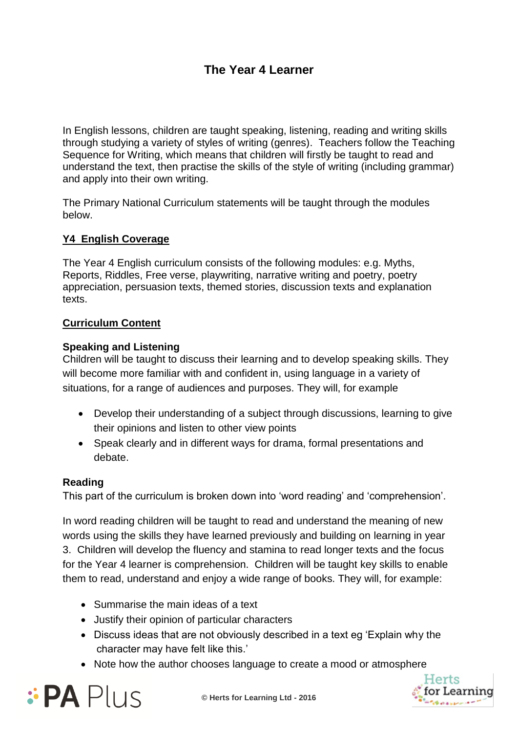# **The Year 4 Learner**

In English lessons, children are taught speaking, listening, reading and writing skills through studying a variety of styles of writing (genres). Teachers follow the Teaching Sequence for Writing, which means that children will firstly be taught to read and understand the text, then practise the skills of the style of writing (including grammar) and apply into their own writing.

The Primary National Curriculum statements will be taught through the modules below.

## **Y4 English Coverage**

The Year 4 English curriculum consists of the following modules: e.g. Myths, Reports, Riddles, Free verse, playwriting, narrative writing and poetry, poetry appreciation, persuasion texts, themed stories, discussion texts and explanation texts.

### **Curriculum Content**

### **Speaking and Listening**

Children will be taught to discuss their learning and to develop speaking skills. They will become more familiar with and confident in, using language in a variety of situations, for a range of audiences and purposes. They will, for example

- Develop their understanding of a subject through discussions, learning to give their opinions and listen to other view points
- Speak clearly and in different ways for drama, formal presentations and debate.

### **Reading**

This part of the curriculum is broken down into 'word reading' and 'comprehension'.

In word reading children will be taught to read and understand the meaning of new words using the skills they have learned previously and building on learning in year 3. Children will develop the fluency and stamina to read longer texts and the focus for the Year 4 learner is comprehension. Children will be taught key skills to enable them to read, understand and enjoy a wide range of books. They will, for example:

- Summarise the main ideas of a text
- Justify their opinion of particular characters
- Discuss ideas that are not obviously described in a text eg 'Explain why the character may have felt like this.'
- Note how the author chooses language to create a mood or atmosphere